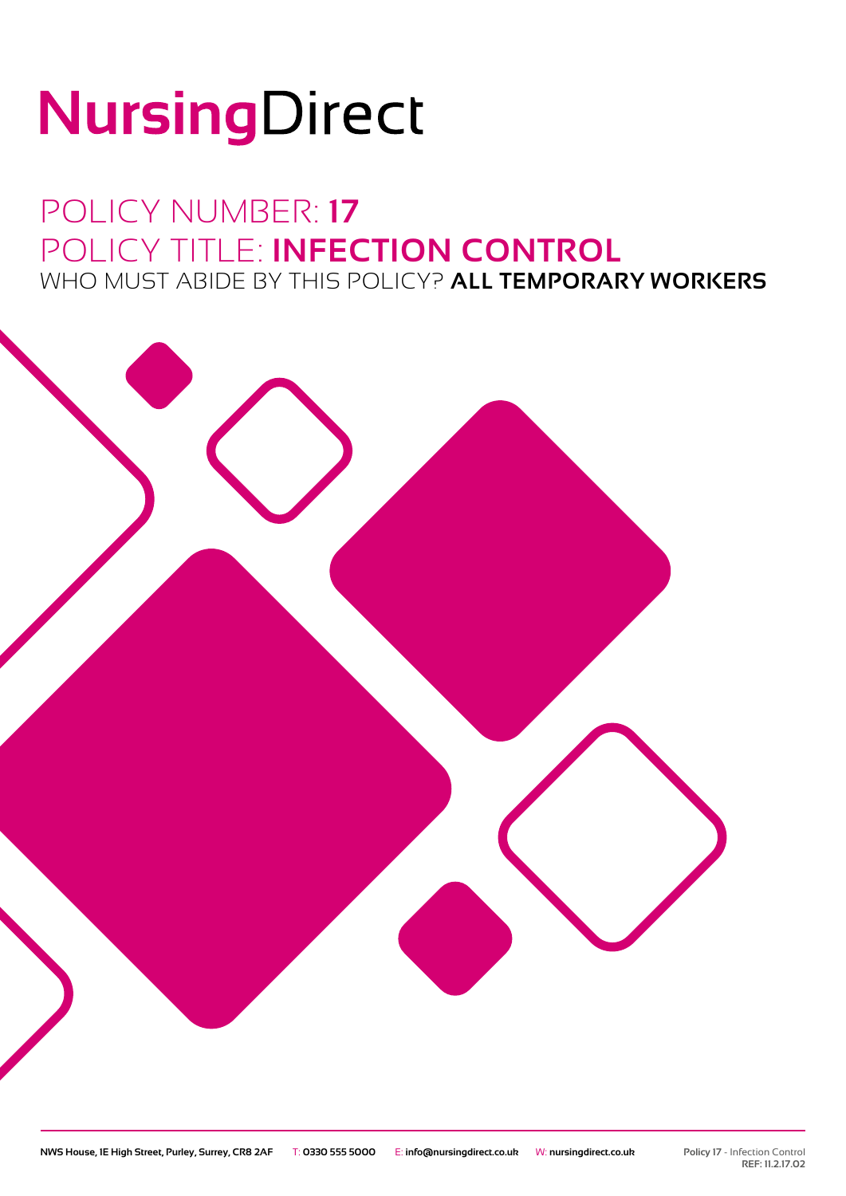# NursingDirect

### POLICY NUMBER: **17** POLICY TITLE: **INFECTION CONTROL** WHO MUST ABIDE BY THIS POLICY? **ALL TEMPORARY WORKERS**

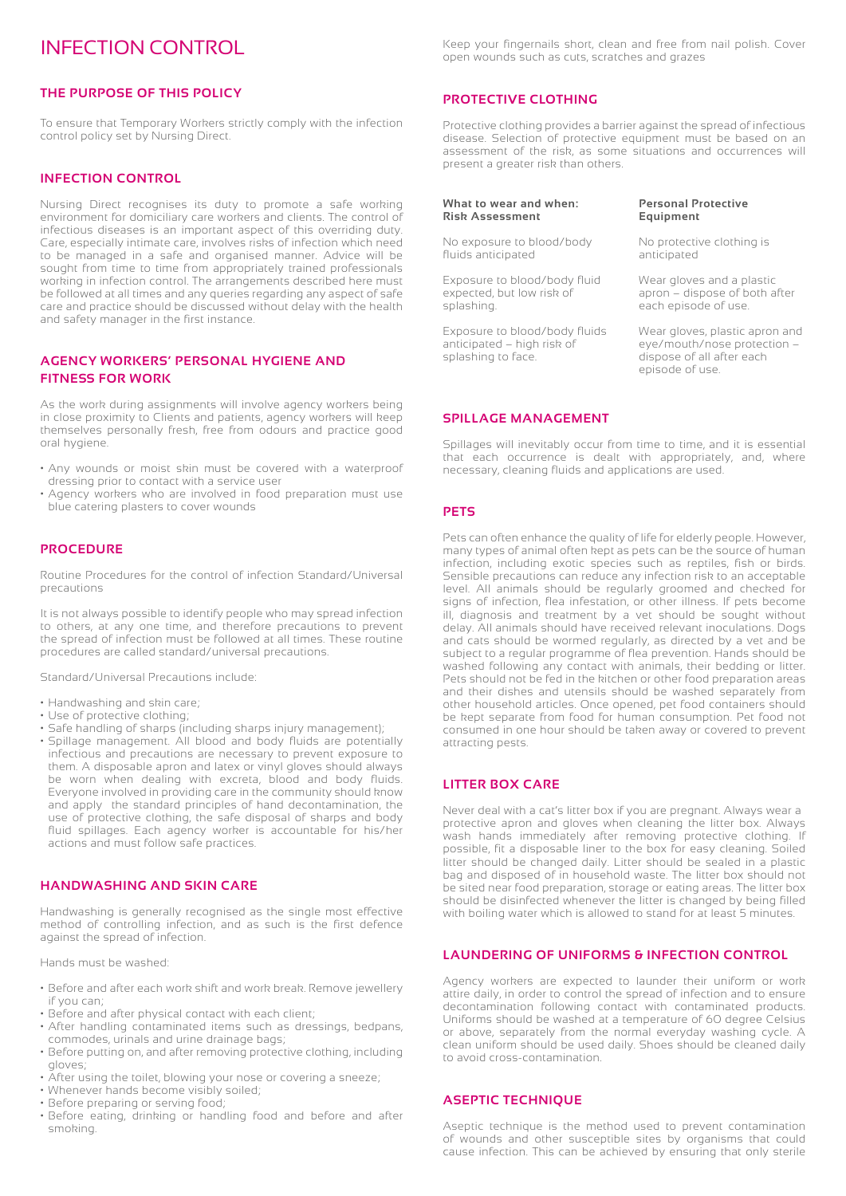#### INFECTION CONTROL

#### **THE PURPOSE OF THIS POLICY**

To ensure that Temporary Workers strictly comply with the infection control policy set by Nursing Direct.

#### **INFECTION CONTROL**

Nursing Direct recognises its duty to promote a safe working environment for domiciliary care workers and clients. The control of infectious diseases is an important aspect of this overriding duty. Care, especially intimate care, involves risks of infection which need to be managed in a safe and organised manner. Advice will be sought from time to time from appropriately trained professionals working in infection control. The arrangements described here must be followed at all times and any queries regarding any aspect of safe care and practice should be discussed without delay with the health and safety manager in the first instance.

#### **AGENCY WORKERS' PERSONAL HYGIENE AND FITNESS FOR WORK**

As the work during assignments will involve agency workers being in close proximity to Clients and patients, agency workers will keep themselves personally fresh, free from odours and practice good oral hygiene.

- Any wounds or moist skin must be covered with a waterproof dressing prior to contact with a service user
- Agency workers who are involved in food preparation must use blue catering plasters to cover wounds

#### **PROCEDURE**

Routine Procedures for the control of infection Standard/Universal precautions

It is not always possible to identify people who may spread infection to others, at any one time, and therefore precautions to prevent the spread of infection must be followed at all times. These routine procedures are called standard/universal precautions.

Standard/Universal Precautions include:

- Handwashing and skin care;
- Use of protective clothing;
- Safe handling of sharps (including sharps injury management);
- Spillage management. All blood and body fluids are potentially infectious and precautions are necessary to prevent exposure to them. A disposable apron and latex or vinyl gloves should always be worn when dealing with excreta, blood and body fluids. Everyone involved in providing care in the community should know and apply the standard principles of hand decontamination, the use of protective clothing, the safe disposal of sharps and body fluid spillages. Each agency worker is accountable for his/her actions and must follow safe practices.

#### **HANDWASHING AND SKIN CARE**

Handwashing is generally recognised as the single most effective method of controlling infection, and as such is the first defence against the spread of infection.

Hands must be washed:

- Before and after each work shift and work break. Remove jewellery if you can;
- Before and after physical contact with each client;
- After handling contaminated items such as dressings, bedpans, commodes, urinals and urine drainage bags;
- Before putting on, and after removing protective clothing, including gloves;
- After using the toilet, blowing your nose or covering a sneeze;
- Whenever hands become visibly soiled;
- Before preparing or serving food;
- Before eating, drinking or handling food and before and after smoking.

Keep your fingernails short, clean and free from nail polish. Cover open wounds such as cuts, scratches and grazes

#### **PROTECTIVE CLOTHING**

Protective clothing provides a barrier against the spread of infectious disease. Selection of protective equipment must be based on an assessment of the risk, as some situations and occurrences will present a greater risk than others.

#### **What to wear and when: Risk Assessment**

No exposure to blood/body fluids anticipated

Exposure to blood/body fluid expected, but low risk of splashing.

Exposure to blood/body fluids anticipated – high risk of splashing to face.

#### **Personal Protective Equipment**

No protective clothing is anticipated

Wear gloves and a plastic apron – dispose of both after each episode of use.

Wear gloves, plastic apron and eye/mouth/nose protection – dispose of all after each episode of use.

#### **SPILLAGE MANAGEMENT**

Spillages will inevitably occur from time to time, and it is essential that each occurrence is dealt with appropriately, and, where necessary, cleaning fluids and applications are used.

#### **PETS**

Pets can often enhance the quality of life for elderly people. However, many types of animal often kept as pets can be the source of human infection, including exotic species such as reptiles, fish or birds. Sensible precautions can reduce any infection risk to an acceptable level. All animals should be regularly groomed and checked for signs of infection, flea infestation, or other illness. If pets become ill, diagnosis and treatment by a vet should be sought without delay. All animals should have received relevant inoculations. Dogs and cats should be wormed regularly, as directed by a vet and be subject to a regular programme of flea prevention. Hands should be washed following any contact with animals, their bedding or litter. Pets should not be fed in the kitchen or other food preparation areas and their dishes and utensils should be washed separately from other household articles. Once opened, pet food containers should be kept separate from food for human consumption. Pet food not consumed in one hour should be taken away or covered to prevent attracting pests.

#### **LITTER BOX CARE**

Never deal with a cat's litter box if you are pregnant. Always wear a protective apron and gloves when cleaning the litter box. Always wash hands immediately after removing protective clothing. If possible, fit a disposable liner to the box for easy cleaning. Soiled litter should be changed daily. Litter should be sealed in a plastic bag and disposed of in household waste. The litter box should not be sited near food preparation, storage or eating areas. The litter box should be disinfected whenever the litter is changed by being filled with boiling water which is allowed to stand for at least 5 minutes.

#### **LAUNDERING OF UNIFORMS & INFECTION CONTROL**

Agency workers are expected to launder their uniform or work attire daily, in order to control the spread of infection and to ensure decontamination following contact with contaminated products. Uniforms should be washed at a temperature of 60 degree Celsius or above, separately from the normal everyday washing cycle. A clean uniform should be used daily. Shoes should be cleaned daily to avoid cross-contamination.

#### **ASEPTIC TECHNIQUE**

Aseptic technique is the method used to prevent contamination of wounds and other susceptible sites by organisms that could cause infection. This can be achieved by ensuring that only sterile